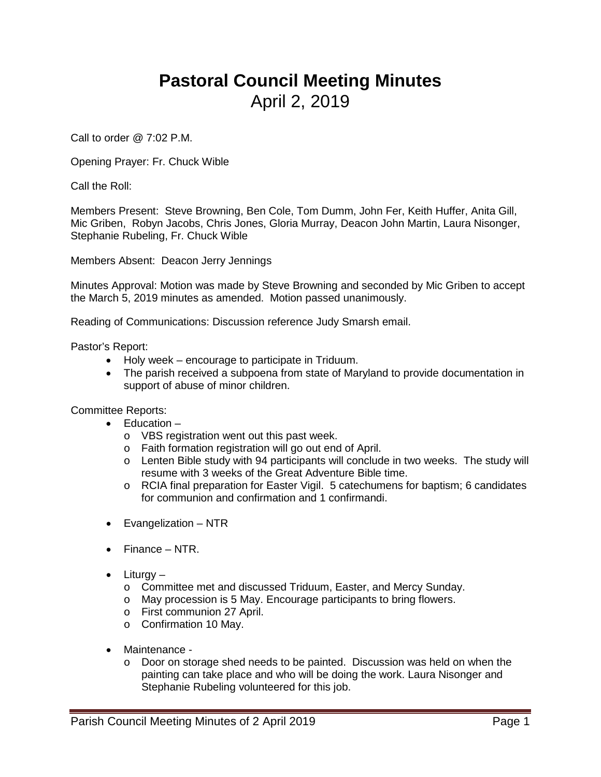## **Pastoral Council Meeting Minutes** April 2, 2019

Call to order @ 7:02 P.M.

Opening Prayer: Fr. Chuck Wible

Call the Roll:

Members Present: Steve Browning, Ben Cole, Tom Dumm, John Fer, Keith Huffer, Anita Gill, Mic Griben, Robyn Jacobs, Chris Jones, Gloria Murray, Deacon John Martin, Laura Nisonger, Stephanie Rubeling, Fr. Chuck Wible

Members Absent: Deacon Jerry Jennings

Minutes Approval: Motion was made by Steve Browning and seconded by Mic Griben to accept the March 5, 2019 minutes as amended. Motion passed unanimously.

Reading of Communications: Discussion reference Judy Smarsh email.

Pastor's Report:

- Holy week encourage to participate in Triduum.
- The parish received a subpoena from state of Maryland to provide documentation in support of abuse of minor children.

Committee Reports:

- Education
	- o VBS registration went out this past week.
	- o Faith formation registration will go out end of April.
	- o Lenten Bible study with 94 participants will conclude in two weeks. The study will resume with 3 weeks of the Great Adventure Bible time.
	- o RCIA final preparation for Easter Vigil. 5 catechumens for baptism; 6 candidates for communion and confirmation and 1 confirmandi.
- Evangelization NTR
- Finance NTR.
- Liturgy
	- o Committee met and discussed Triduum, Easter, and Mercy Sunday.
	- o May procession is 5 May. Encourage participants to bring flowers.
	- o First communion 27 April.
	- o Confirmation 10 May.
- Maintenance
	- o Door on storage shed needs to be painted. Discussion was held on when the painting can take place and who will be doing the work. Laura Nisonger and Stephanie Rubeling volunteered for this job.